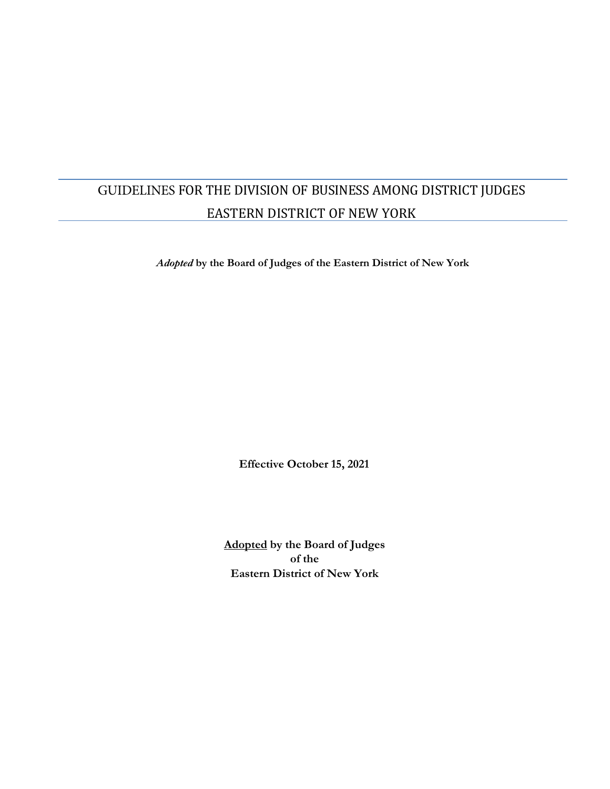# GUIDELINES FOR THE DIVISION OF BUSINESS AMONG DISTRICT JUDGES EASTERN DISTRICT OF NEW YORK

*Adopted* **by the Board of Judges of the Eastern District of New York**

**Effective October 15, 2021**

**Adopted by the Board of Judges of the Eastern District of New York**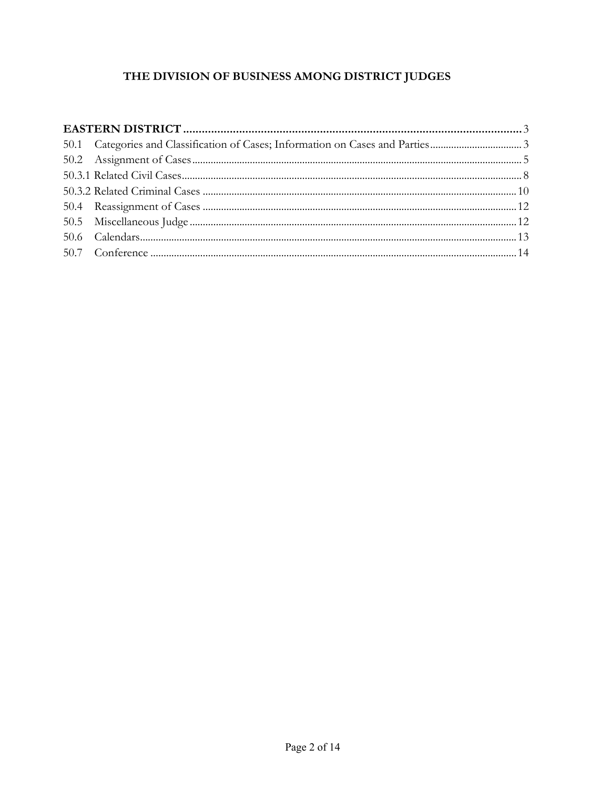# THE DIVISION OF BUSINESS AMONG DISTRICT JUDGES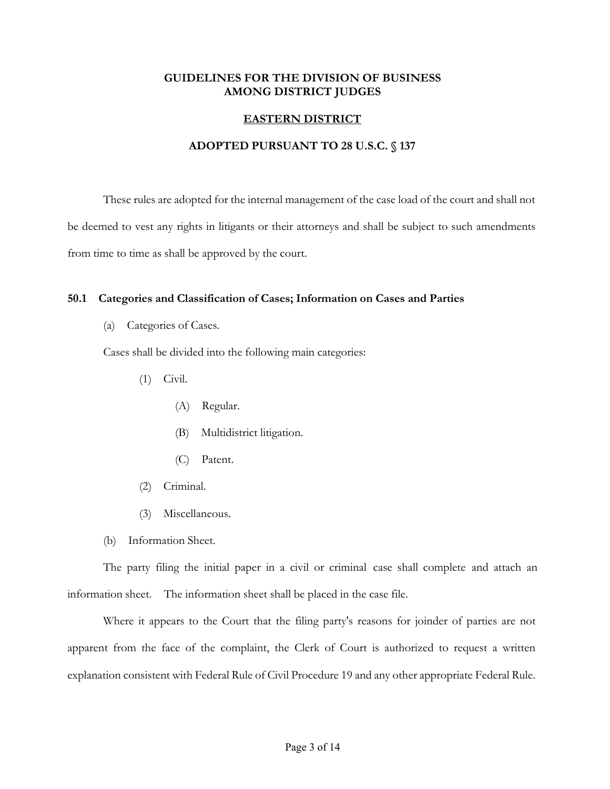# <span id="page-2-0"></span>**GUIDELINES FOR THE DIVISION OF BUSINESS AMONG DISTRICT JUDGES**

# **EASTERN DISTRICT**

# **ADOPTED PURSUANT TO 28 U.S.C. § 137**

These rules are adopted for the internal management of the case load of the court and shall not be deemed to vest any rights in litigants or their attorneys and shall be subject to such amendments from time to time as shall be approved by the court.

## **50.1 Categories and Classification of Cases; Information on Cases and Parties**

(a) Categories of Cases.

Cases shall be divided into the following main categories:

- (1) Civil.
	- (A) Regular.
	- (B) Multidistrict litigation.
	- (C) Patent.
- (2) Criminal.
- (3) Miscellaneous.
- (b) Information Sheet.

The party filing the initial paper in a civil or criminal case shall complete and attach an information sheet. The information sheet shall be placed in the case file.

Where it appears to the Court that the filing party's reasons for joinder of parties are not apparent from the face of the complaint, the Clerk of Court is authorized to request a written explanation consistent with Federal Rule of Civil Procedure 19 and any other appropriate Federal Rule.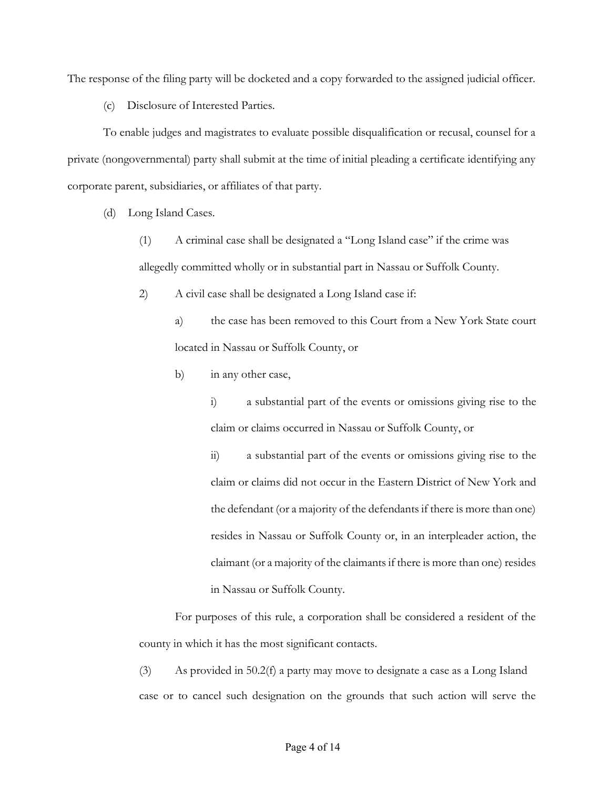The response of the filing party will be docketed and a copy forwarded to the assigned judicial officer.

(c) Disclosure of Interested Parties.

To enable judges and magistrates to evaluate possible disqualification or recusal, counsel for a private (nongovernmental) party shall submit at the time of initial pleading a certificate identifying any corporate parent, subsidiaries, or affiliates of that party.

(d) Long Island Cases.

(1) A criminal case shall be designated a "Long Island case" if the crime was allegedly committed wholly or in substantial part in Nassau or Suffolk County.

2) A civil case shall be designated a Long Island case if:

a) the case has been removed to this Court from a New York State court located in Nassau or Suffolk County, or

b) in any other case,

i) a substantial part of the events or omissions giving rise to the claim or claims occurred in Nassau or Suffolk County, or

ii) a substantial part of the events or omissions giving rise to the claim or claims did not occur in the Eastern District of New York and the defendant (or a majority of the defendants if there is more than one) resides in Nassau or Suffolk County or, in an interpleader action, the claimant (or a majority of the claimantsif there is more than one) resides in Nassau or Suffolk County.

For purposes of this rule, a corporation shall be considered a resident of the county in which it has the most significant contacts.

(3) As provided in 50.2(f) a party may move to designate a case as a Long Island case or to cancel such designation on the grounds that such action will serve the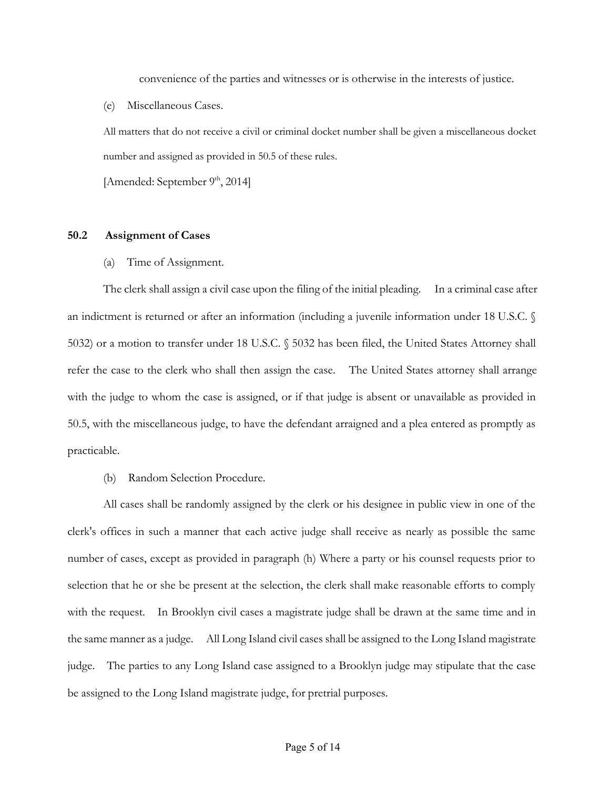convenience of the parties and witnesses or is otherwise in the interests of justice.

<span id="page-4-0"></span>(e) Miscellaneous Cases.

All matters that do not receive a civil or criminal docket number shall be given a miscellaneous docket number and assigned as provided in 50.5 of these rules.

[Amended: September 9<sup>th</sup>, 2014]

#### **50.2 Assignment of Cases**

(a) Time of Assignment.

The clerk shall assign a civil case upon the filing of the initial pleading. In a criminal case after an indictment is returned or after an information (including a juvenile information under 18 U.S.C. § 5032) or a motion to transfer under 18 U.S.C. § 5032 has been filed, the United States Attorney shall refer the case to the clerk who shall then assign the case. The United States attorney shall arrange with the judge to whom the case is assigned, or if that judge is absent or unavailable as provided in 50.5, with the miscellaneous judge, to have the defendant arraigned and a plea entered as promptly as practicable.

(b) Random Selection Procedure.

All cases shall be randomly assigned by the clerk or his designee in public view in one of the clerk's offices in such a manner that each active judge shall receive as nearly as possible the same number of cases, except as provided in paragraph (h) Where a party or his counsel requests prior to selection that he or she be present at the selection, the clerk shall make reasonable efforts to comply with the request. In Brooklyn civil cases a magistrate judge shall be drawn at the same time and in the same manner as a judge. All Long Island civil cases shall be assigned to the Long Island magistrate judge. The parties to any Long Island case assigned to a Brooklyn judge may stipulate that the case be assigned to the Long Island magistrate judge, for pretrial purposes.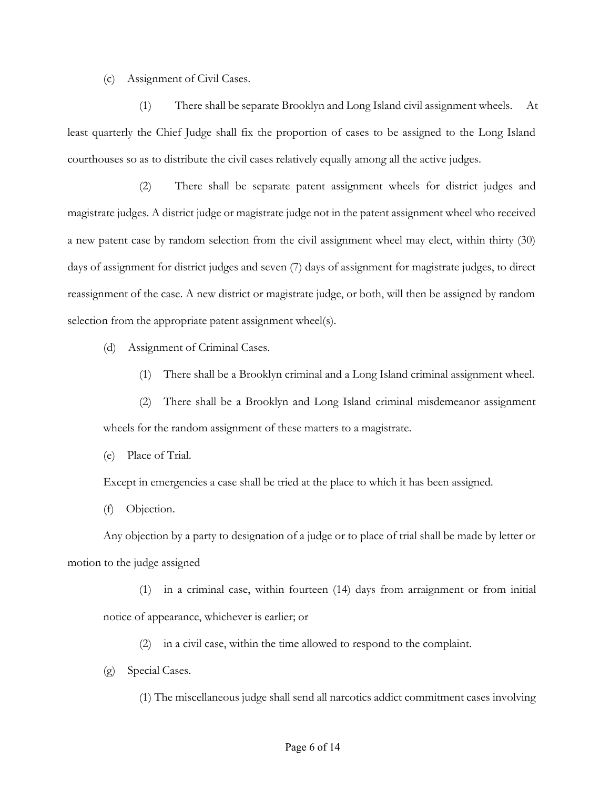(c) Assignment of Civil Cases.

(1) There shall be separate Brooklyn and Long Island civil assignment wheels. At least quarterly the Chief Judge shall fix the proportion of cases to be assigned to the Long Island courthouses so as to distribute the civil cases relatively equally among all the active judges.

(2) There shall be separate patent assignment wheels for district judges and magistrate judges. A district judge or magistrate judge not in the patent assignment wheel who received a new patent case by random selection from the civil assignment wheel may elect, within thirty (30) days of assignment for district judges and seven (7) days of assignment for magistrate judges, to direct reassignment of the case. A new district or magistrate judge, or both, will then be assigned by random selection from the appropriate patent assignment wheel(s).

(d) Assignment of Criminal Cases.

- (1) There shall be a Brooklyn criminal and a Long Island criminal assignment wheel.
- (2) There shall be a Brooklyn and Long Island criminal misdemeanor assignment wheels for the random assignment of these matters to a magistrate.

(e) Place of Trial.

Except in emergencies a case shall be tried at the place to which it has been assigned.

(f) Objection.

Any objection by a party to designation of a judge or to place of trial shall be made by letter or motion to the judge assigned

(1) in a criminal case, within fourteen (14) days from arraignment or from initial notice of appearance, whichever is earlier; or

(2) in a civil case, within the time allowed to respond to the complaint.

(g) Special Cases.

(1) The miscellaneous judge shall send all narcotics addict commitment cases involving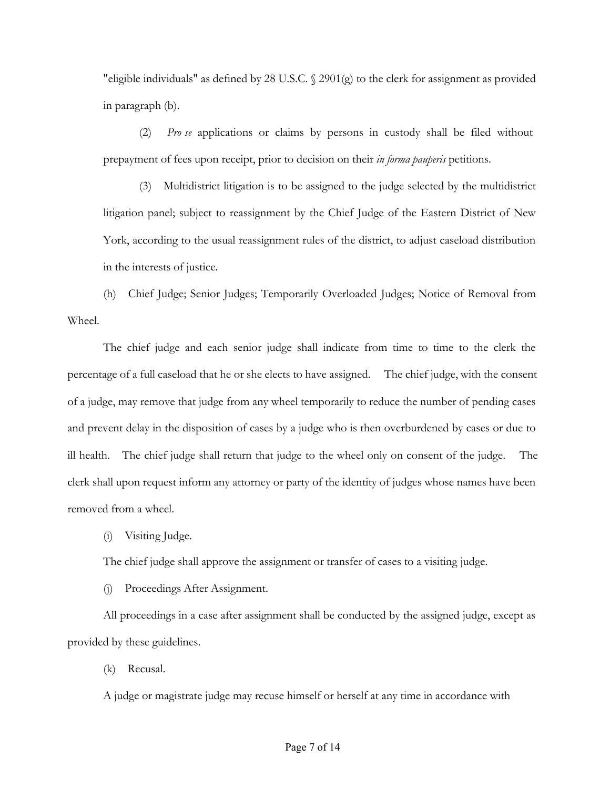"eligible individuals" as defined by 28 U.S.C. § 2901(g) to the clerk for assignment as provided in paragraph (b).

(2) *Pro se* applications or claims by persons in custody shall be filed without prepayment of fees upon receipt, prior to decision on their *in forma pauperis* petitions.

(3) Multidistrict litigation is to be assigned to the judge selected by the multidistrict litigation panel; subject to reassignment by the Chief Judge of the Eastern District of New York, according to the usual reassignment rules of the district, to adjust caseload distribution in the interests of justice.

(h) Chief Judge; Senior Judges; Temporarily Overloaded Judges; Notice of Removal from Wheel.

The chief judge and each senior judge shall indicate from time to time to the clerk the percentage of a full caseload that he or she elects to have assigned. The chief judge, with the consent of a judge, may remove that judge from any wheel temporarily to reduce the number of pending cases and prevent delay in the disposition of cases by a judge who is then overburdened by cases or due to ill health. The chief judge shall return that judge to the wheel only on consent of the judge. The clerk shall upon request inform any attorney or party of the identity of judges whose names have been removed from a wheel.

(i) Visiting Judge.

The chief judge shall approve the assignment or transfer of cases to a visiting judge.

(j) Proceedings After Assignment.

All proceedings in a case after assignment shall be conducted by the assigned judge, except as provided by these guidelines.

(k) Recusal.

A judge or magistrate judge may recuse himself or herself at any time in accordance with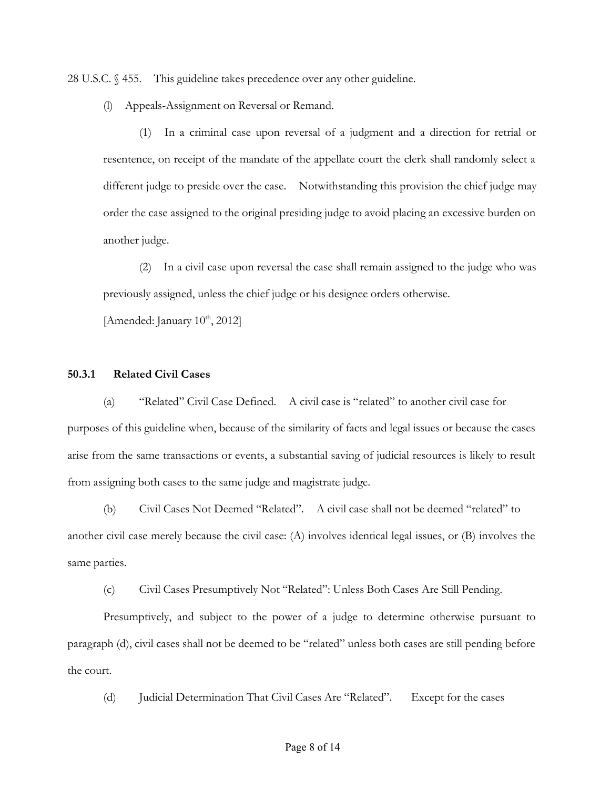<span id="page-7-0"></span>28 U.S.C. § 455. This guideline takes precedence over any other guideline.

(l) Appeals-Assignment on Reversal or Remand.

(1) In a criminal case upon reversal of a judgment and a direction for retrial or resentence, on receipt of the mandate of the appellate court the clerk shall randomly select a different judge to preside over the case. Notwithstanding this provision the chief judge may order the case assigned to the original presiding judge to avoid placing an excessive burden on another judge.

(2) In a civil case upon reversal the case shall remain assigned to the judge who was previously assigned, unless the chief judge or his designee orders otherwise.

[Amended: January  $10^{th}$ ,  $2012$ ]

#### **50.3.1 Related Civil Cases**

(a) "Related" Civil Case Defined. A civil case is "related" to another civil case for purposes of this guideline when, because of the similarity of facts and legal issues or because the cases arise from the same transactions or events, a substantial saving of judicial resources is likely to result from assigning both cases to the same judge and magistrate judge.

(b) Civil Cases Not Deemed "Related". A civil case shall not be deemed "related" to another civil case merely because the civil case: (A) involves identical legal issues, or (B) involves the same parties.

(c) Civil Cases Presumptively Not "Related": Unless Both Cases Are Still Pending.

Presumptively, and subject to the power of a judge to determine otherwise pursuant to paragraph (d), civil cases shall not be deemed to be "related" unless both cases are still pending before the court.

(d) Judicial Determination That Civil Cases Are "Related". Except for the cases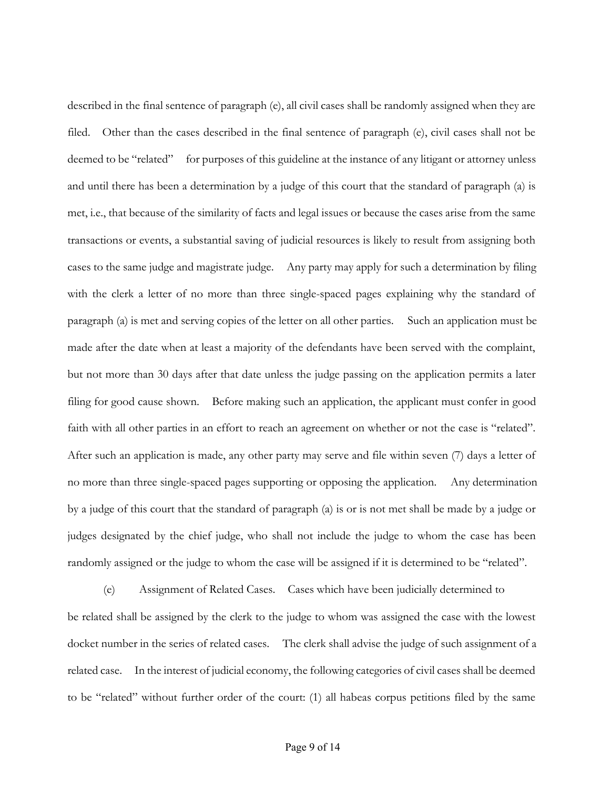described in the final sentence of paragraph (e), all civil cases shall be randomly assigned when they are filed. Other than the cases described in the final sentence of paragraph (e), civil cases shall not be deemed to be "related" for purposes of this guideline at the instance of any litigant or attorney unless and until there has been a determination by a judge of this court that the standard of paragraph (a) is met, i.e., that because of the similarity of facts and legal issues or because the cases arise from the same transactions or events, a substantial saving of judicial resources is likely to result from assigning both cases to the same judge and magistrate judge. Any party may apply for such a determination by filing with the clerk a letter of no more than three single-spaced pages explaining why the standard of paragraph (a) is met and serving copies of the letter on all other parties. Such an application must be made after the date when at least a majority of the defendants have been served with the complaint, but not more than 30 days after that date unless the judge passing on the application permits a later filing for good cause shown. Before making such an application, the applicant must confer in good faith with all other parties in an effort to reach an agreement on whether or not the case is "related". After such an application is made, any other party may serve and file within seven (7) days a letter of no more than three single-spaced pages supporting or opposing the application. Any determination by a judge of this court that the standard of paragraph (a) is or is not met shall be made by a judge or judges designated by the chief judge, who shall not include the judge to whom the case has been randomly assigned or the judge to whom the case will be assigned if it is determined to be "related".

(e) Assignment of Related Cases. Cases which have been judicially determined to be related shall be assigned by the clerk to the judge to whom was assigned the case with the lowest docket number in the series of related cases. The clerk shall advise the judge of such assignment of a related case. In the interest of judicial economy, the following categories of civil cases shall be deemed to be "related" without further order of the court: (1) all habeas corpus petitions filed by the same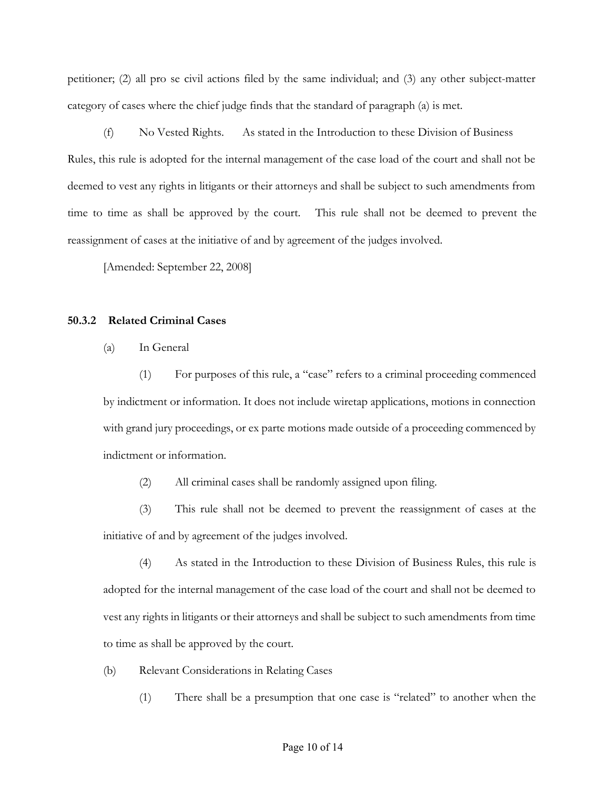<span id="page-9-0"></span>petitioner; (2) all pro se civil actions filed by the same individual; and (3) any other subject-matter category of cases where the chief judge finds that the standard of paragraph (a) is met.

(f) No Vested Rights. As stated in the Introduction to these Division of Business Rules, this rule is adopted for the internal management of the case load of the court and shall not be deemed to vest any rights in litigants or their attorneys and shall be subject to such amendments from time to time as shall be approved by the court. This rule shall not be deemed to prevent the reassignment of cases at the initiative of and by agreement of the judges involved.

[Amended: September 22, 2008]

### **50.3.2 Related Criminal Cases**

(a) In General

(1) For purposes of this rule, a "case" refers to a criminal proceeding commenced by indictment or information. It does not include wiretap applications, motions in connection with grand jury proceedings, or ex parte motions made outside of a proceeding commenced by indictment or information.

(2) All criminal cases shall be randomly assigned upon filing.

(3) This rule shall not be deemed to prevent the reassignment of cases at the initiative of and by agreement of the judges involved.

(4) As stated in the Introduction to these Division of Business Rules, this rule is adopted for the internal management of the case load of the court and shall not be deemed to vest any rights in litigants or their attorneys and shall be subject to such amendments from time to time as shall be approved by the court.

- (b) Relevant Considerations in Relating Cases
	- (1) There shall be a presumption that one case is "related" to another when the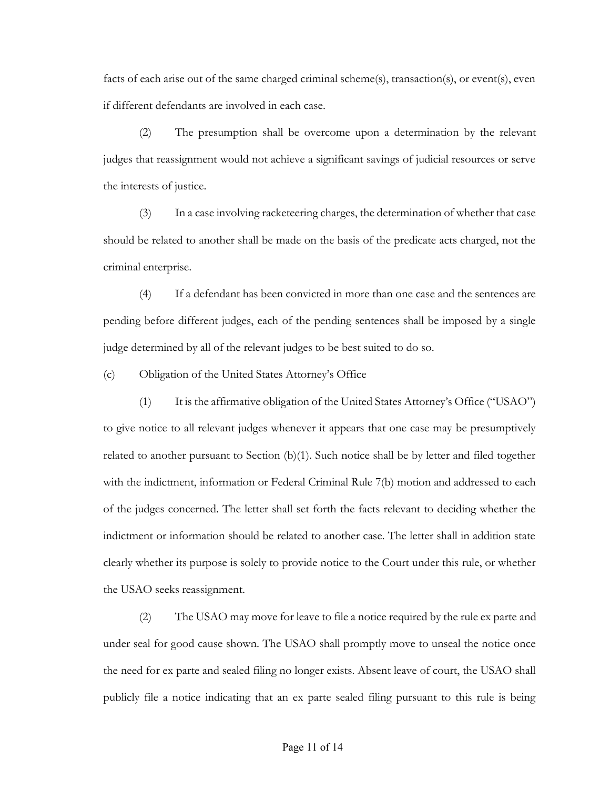facts of each arise out of the same charged criminal scheme(s), transaction(s), or event(s), even if different defendants are involved in each case.

(2) The presumption shall be overcome upon a determination by the relevant judges that reassignment would not achieve a significant savings of judicial resources or serve the interests of justice.

(3) In a case involving racketeering charges, the determination of whether that case should be related to another shall be made on the basis of the predicate acts charged, not the criminal enterprise.

(4) If a defendant has been convicted in more than one case and the sentences are pending before different judges, each of the pending sentences shall be imposed by a single judge determined by all of the relevant judges to be best suited to do so.

(c) Obligation of the United States Attorney's Office

(1) It is the affirmative obligation of the United States Attorney's Office ("USAO") to give notice to all relevant judges whenever it appears that one case may be presumptively related to another pursuant to Section (b)(1). Such notice shall be by letter and filed together with the indictment, information or Federal Criminal Rule 7(b) motion and addressed to each of the judges concerned. The letter shall set forth the facts relevant to deciding whether the indictment or information should be related to another case. The letter shall in addition state clearly whether its purpose is solely to provide notice to the Court under this rule, or whether the USAO seeks reassignment.

(2) The USAO may move for leave to file a notice required by the rule ex parte and under seal for good cause shown. The USAO shall promptly move to unseal the notice once the need for ex parte and sealed filing no longer exists. Absent leave of court, the USAO shall publicly file a notice indicating that an ex parte sealed filing pursuant to this rule is being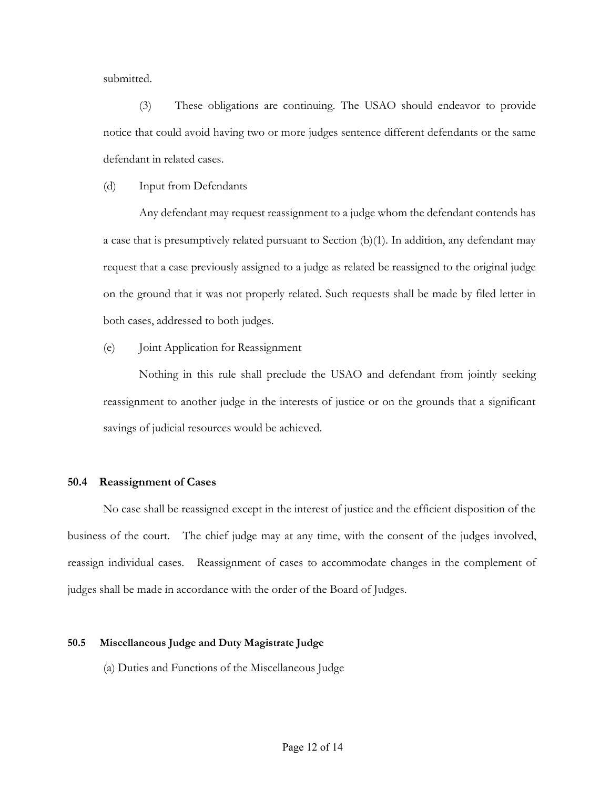<span id="page-11-0"></span>submitted.

(3) These obligations are continuing. The USAO should endeavor to provide notice that could avoid having two or more judges sentence different defendants or the same defendant in related cases.

(d) Input from Defendants

Any defendant may request reassignment to a judge whom the defendant contends has a case that is presumptively related pursuant to Section  $(b)(1)$ . In addition, any defendant may request that a case previously assigned to a judge as related be reassigned to the original judge on the ground that it was not properly related. Such requests shall be made by filed letter in both cases, addressed to both judges.

(e) Joint Application for Reassignment

Nothing in this rule shall preclude the USAO and defendant from jointly seeking reassignment to another judge in the interests of justice or on the grounds that a significant savings of judicial resources would be achieved.

#### **50.4 Reassignment of Cases**

No case shall be reassigned except in the interest of justice and the efficient disposition of the business of the court. The chief judge may at any time, with the consent of the judges involved, reassign individual cases. Reassignment of cases to accommodate changes in the complement of judges shall be made in accordance with the order of the Board of Judges.

#### **50.5 Miscellaneous Judge and Duty Magistrate Judge**

(a) Duties and Functions of the Miscellaneous Judge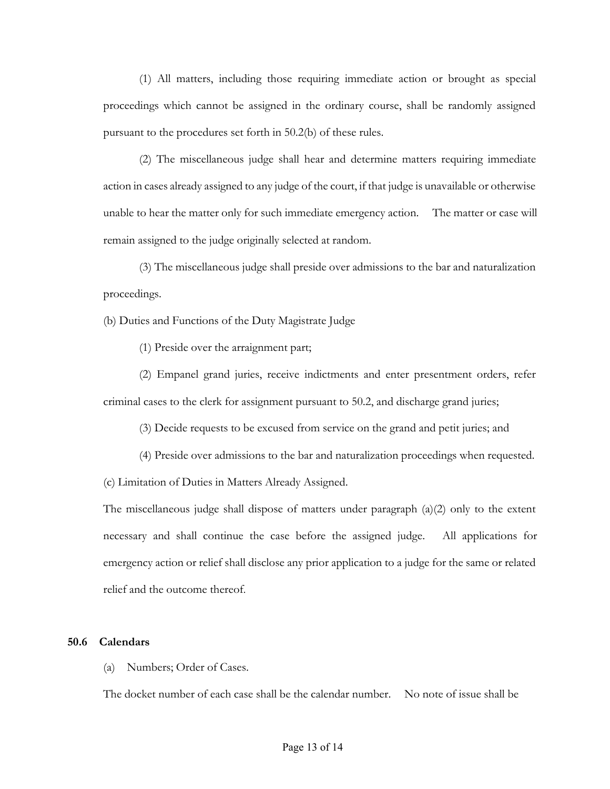<span id="page-12-0"></span>(1) All matters, including those requiring immediate action or brought as special proceedings which cannot be assigned in the ordinary course, shall be randomly assigned pursuant to the procedures set forth in 50.2(b) of these rules.

(2) The miscellaneous judge shall hear and determine matters requiring immediate action in cases already assigned to any judge of the court, if that judge is unavailable or otherwise unable to hear the matter only for such immediate emergency action. The matter or case will remain assigned to the judge originally selected at random.

(3) The miscellaneous judge shall preside over admissions to the bar and naturalization proceedings.

(b) Duties and Functions of the Duty Magistrate Judge

(1) Preside over the arraignment part;

(2) Empanel grand juries, receive indictments and enter presentment orders, refer criminal cases to the clerk for assignment pursuant to 50.2, and discharge grand juries;

(3) Decide requests to be excused from service on the grand and petit juries; and

(4) Preside over admissions to the bar and naturalization proceedings when requested.

(c) Limitation of Duties in Matters Already Assigned.

The miscellaneous judge shall dispose of matters under paragraph (a)(2) only to the extent necessary and shall continue the case before the assigned judge. All applications for emergency action or relief shall disclose any prior application to a judge for the same or related relief and the outcome thereof.

#### **50.6 Calendars**

(a) Numbers; Order of Cases.

The docket number of each case shall be the calendar number. No note of issue shall be